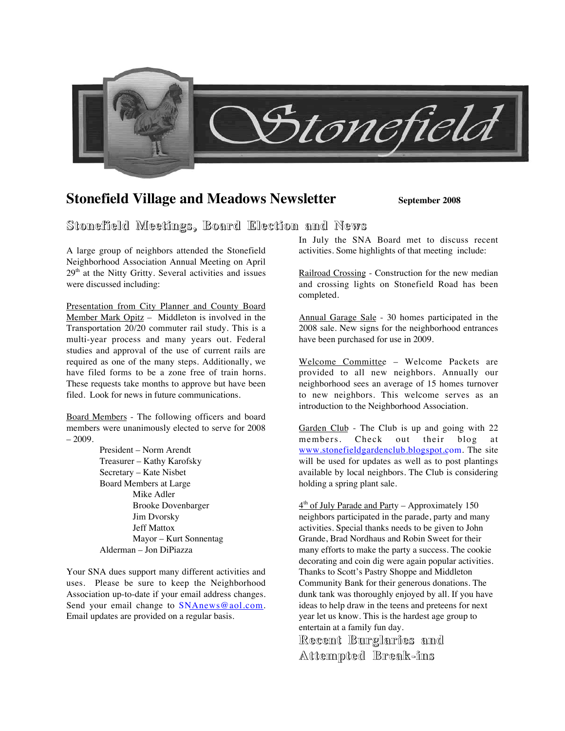

# **Stonefield Village and Meadows Newsletter September 2008**

## **Stonefield Stonefield Meetings, Meetings, Board Election Election and News**

A large group of neighbors attended the Stonefield Neighborhood Association Annual Meeting on April 29th at the Nitty Gritty. Several activities and issues were discussed including:

Presentation from City Planner and County Board Member Mark Opitz - Middleton is involved in the Transportation 20/20 commuter rail study. This is a multi-year process and many years out. Federal studies and approval of the use of current rails are required as one of the many steps. Additionally, we have filed forms to be a zone free of train horns. These requests take months to approve but have been filed. Look for news in future communications.

Board Members - The following officers and board members were unanimously elected to serve for 2008  $-2009.$ 

> President – Norm Arendt Treasurer – Kathy Karofsky Secretary – Kate Nisbet Board Members at Large Mike Adler Brooke Dovenbarger Jim Dvorsky Jeff Mattox Mayor – Kurt Sonnentag Alderman – Jon DiPiazza

Your SNA dues support many different activities and uses. Please be sure to keep the Neighborhood Association up-to-date if your email address changes. Send your email change to SNAnews@aol.com. Email updates are provided on a regular basis.

In July the SNA Board met to discuss recent activities. Some highlights of that meeting include:

Railroad Crossing - Construction for the new median and crossing lights on Stonefield Road has been completed.

Annual Garage Sale - 30 homes participated in the 2008 sale. New signs for the neighborhood entrances have been purchased for use in 2009.

Welcome Committee – Welcome Packets are provided to all new neighbors. Annually our neighborhood sees an average of 15 homes turnover to new neighbors. This welcome serves as an introduction to the Neighborhood Association.

Garden Club - The Club is up and going with 22 members. Check out their blog at www.stonefieldgardenclub.blogspot.com. The site will be used for updates as well as to post plantings available by local neighbors. The Club is considering holding a spring plant sale.

 $4<sup>th</sup>$  of July Parade and Party – Approximately 150 neighbors participated in the parade, party and many activities. Special thanks needs to be given to John Grande, Brad Nordhaus and Robin Sweet for their many efforts to make the party a success. The cookie decorating and coin dig were again popular activities. Thanks to Scott's Pastry Shoppe and Middleton Community Bank for their generous donations. The dunk tank was thoroughly enjoyed by all. If you have ideas to help draw in the teens and preteens for next year let us know. This is the hardest age group to entertain at a family fun day.

**Recent Burglaries Burglaries and Attempted Attempted Break-ins Break-ins**